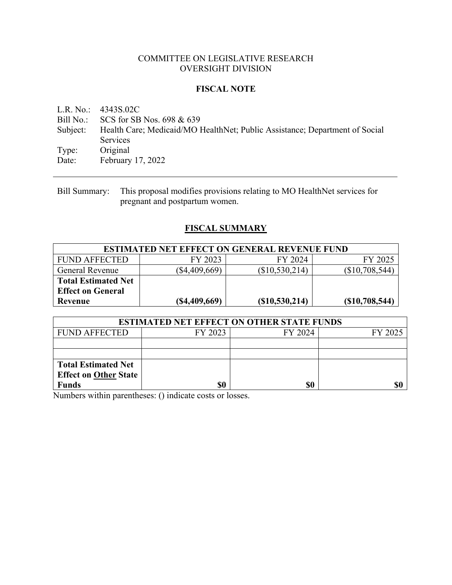### COMMITTEE ON LEGISLATIVE RESEARCH OVERSIGHT DIVISION

## **FISCAL NOTE**

L.R. No.: 4343S.02C Bill No.: SCS for SB Nos. 698 & 639 Subject: Health Care; Medicaid/MO HealthNet; Public Assistance; Department of Social Services Type: Original Date: February 17, 2022

Bill Summary: This proposal modifies provisions relating to MO HealthNet services for pregnant and postpartum women.

# **FISCAL SUMMARY**

| <b>ESTIMATED NET EFFECT ON GENERAL REVENUE FUND</b> |                  |                 |                  |  |  |
|-----------------------------------------------------|------------------|-----------------|------------------|--|--|
| FUND AFFECTED                                       | FY 2023          | FY 2024         | FY 2025          |  |  |
| General Revenue                                     | $(\$4,409,669)$  | (\$10,530,214)  | $(\$10,708,544)$ |  |  |
| <b>Total Estimated Net</b>                          |                  |                 |                  |  |  |
| <b>Effect on General</b>                            |                  |                 |                  |  |  |
| Revenue                                             | $($ \$4,409,669) | (S10, 530, 214) | (S10,708,544)    |  |  |

| <b>ESTIMATED NET EFFECT ON OTHER STATE FUNDS</b> |         |         |         |  |  |
|--------------------------------------------------|---------|---------|---------|--|--|
| <b>FUND AFFECTED</b>                             | FY 2023 | FY 2024 | FY 2025 |  |  |
|                                                  |         |         |         |  |  |
|                                                  |         |         |         |  |  |
| <b>Total Estimated Net</b>                       |         |         |         |  |  |
| <b>Effect on Other State</b>                     |         |         |         |  |  |
| <b>Funds</b>                                     | \$0     | \$0     |         |  |  |

Numbers within parentheses: () indicate costs or losses.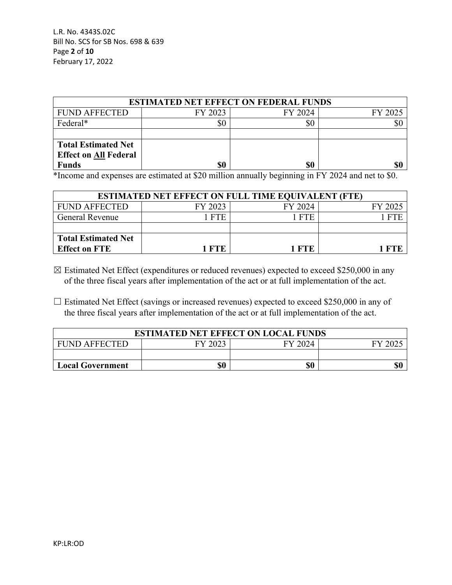L.R. No. 4343S.02C Bill No. SCS for SB Nos. 698 & 639 Page **2** of **10** February 17, 2022

| <b>ESTIMATED NET EFFECT ON FEDERAL FUNDS</b> |         |         |         |  |  |
|----------------------------------------------|---------|---------|---------|--|--|
| <b>FUND AFFECTED</b>                         | FY 2023 | FY 2024 | FY 2025 |  |  |
| Federal*                                     | \$0     | \$0     | \$(     |  |  |
|                                              |         |         |         |  |  |
| <b>Total Estimated Net</b>                   |         |         |         |  |  |
| <b>Effect on All Federal</b>                 |         |         |         |  |  |
| <b>Funds</b>                                 | \$0     | \$0     |         |  |  |

\*Income and expenses are estimated at \$20 million annually beginning in FY 2024 and net to \$0.

| <b>ESTIMATED NET EFFECT ON FULL TIME EQUIVALENT (FTE)</b> |         |         |         |  |  |
|-----------------------------------------------------------|---------|---------|---------|--|--|
| <b>FUND AFFECTED</b>                                      | FY 2023 | FY 2024 | FY 2025 |  |  |
| <b>General Revenue</b>                                    | - FTE   | 1 FTE   |         |  |  |
|                                                           |         |         |         |  |  |
| <b>Total Estimated Net</b>                                |         |         |         |  |  |
| <b>Effect on FTE</b>                                      | 1 FTF   | - FTF   |         |  |  |

 $\boxtimes$  Estimated Net Effect (expenditures or reduced revenues) expected to exceed \$250,000 in any of the three fiscal years after implementation of the act or at full implementation of the act.

 $\Box$  Estimated Net Effect (savings or increased revenues) expected to exceed \$250,000 in any of the three fiscal years after implementation of the act or at full implementation of the act.

| <b>ESTIMATED NET EFFECT ON LOCAL FUNDS</b> |  |  |  |  |  |  |
|--------------------------------------------|--|--|--|--|--|--|
| FY 2023<br>FY 2024<br><b>FUND AFFECTED</b> |  |  |  |  |  |  |
|                                            |  |  |  |  |  |  |
| \$0<br>\$0<br><b>Local Government</b>      |  |  |  |  |  |  |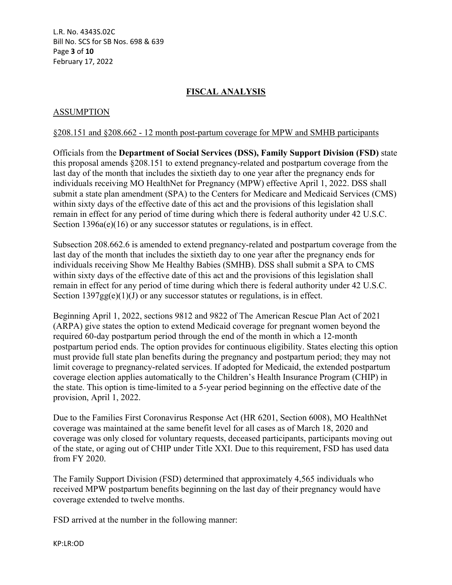L.R. No. 4343S.02C Bill No. SCS for SB Nos. 698 & 639 Page **3** of **10** February 17, 2022

# **FISCAL ANALYSIS**

## ASSUMPTION

#### §208.151 and §208.662 - 12 month post-partum coverage for MPW and SMHB participants

Officials from the **Department of Social Services (DSS), Family Support Division (FSD)** state this proposal amends §208.151 to extend pregnancy-related and postpartum coverage from the last day of the month that includes the sixtieth day to one year after the pregnancy ends for individuals receiving MO HealthNet for Pregnancy (MPW) effective April 1, 2022. DSS shall submit a state plan amendment (SPA) to the Centers for Medicare and Medicaid Services (CMS) within sixty days of the effective date of this act and the provisions of this legislation shall remain in effect for any period of time during which there is federal authority under 42 U.S.C. Section 1396a(e)(16) or any successor statutes or regulations, is in effect.

Subsection 208.662.6 is amended to extend pregnancy-related and postpartum coverage from the last day of the month that includes the sixtieth day to one year after the pregnancy ends for individuals receiving Show Me Healthy Babies (SMHB). DSS shall submit a SPA to CMS within sixty days of the effective date of this act and the provisions of this legislation shall remain in effect for any period of time during which there is federal authority under 42 U.S.C. Section  $1397gg(e)(1)(J)$  or any successor statutes or regulations, is in effect.

Beginning April 1, 2022, sections 9812 and 9822 of The American Rescue Plan Act of 2021 (ARPA) give states the option to extend Medicaid coverage for pregnant women beyond the required 60-day postpartum period through the end of the month in which a 12-month postpartum period ends. The option provides for continuous eligibility. States electing this option must provide full state plan benefits during the pregnancy and postpartum period; they may not limit coverage to pregnancy-related services. If adopted for Medicaid, the extended postpartum coverage election applies automatically to the Children's Health Insurance Program (CHIP) in the state. This option is time-limited to a 5-year period beginning on the effective date of the provision, April 1, 2022.

Due to the Families First Coronavirus Response Act (HR 6201, Section 6008), MO HealthNet coverage was maintained at the same benefit level for all cases as of March 18, 2020 and coverage was only closed for voluntary requests, deceased participants, participants moving out of the state, or aging out of CHIP under Title XXI. Due to this requirement, FSD has used data from FY 2020.

The Family Support Division (FSD) determined that approximately 4,565 individuals who received MPW postpartum benefits beginning on the last day of their pregnancy would have coverage extended to twelve months.

FSD arrived at the number in the following manner: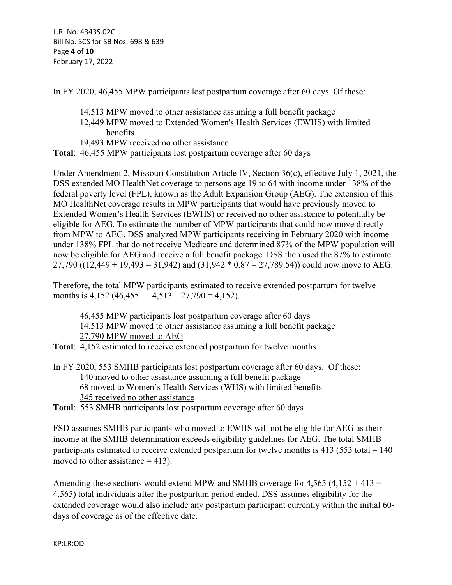In FY 2020, 46,455 MPW participants lost postpartum coverage after 60 days. Of these:

- 14,513 MPW moved to other assistance assuming a full benefit package
- 12,449 MPW moved to Extended Women's Health Services (EWHS) with limited benefits
- 19,493 MPW received no other assistance
- **Total**: 46,455 MPW participants lost postpartum coverage after 60 days

Under Amendment 2, Missouri Constitution Article IV, Section 36(c), effective July 1, 2021, the DSS extended MO HealthNet coverage to persons age 19 to 64 with income under 138% of the federal poverty level (FPL), known as the Adult Expansion Group (AEG). The extension of this MO HealthNet coverage results in MPW participants that would have previously moved to Extended Women's Health Services (EWHS) or received no other assistance to potentially be eligible for AEG. To estimate the number of MPW participants that could now move directly from MPW to AEG, DSS analyzed MPW participants receiving in February 2020 with income under 138% FPL that do not receive Medicare and determined 87% of the MPW population will now be eligible for AEG and receive a full benefit package. DSS then used the 87% to estimate 27,790 ((12,449 + 19,493 = 31,942) and (31,942  $*$  0.87 = 27,789.54)) could now move to AEG.

Therefore, the total MPW participants estimated to receive extended postpartum for twelve months is  $4,152$  ( $46,455 - 14,513 - 27,790 = 4,152$ ).

46,455 MPW participants lost postpartum coverage after 60 days 14,513 MPW moved to other assistance assuming a full benefit package 27,790 MPW moved to AEG

- **Total**: 4,152 estimated to receive extended postpartum for twelve months
- In FY 2020, 553 SMHB participants lost postpartum coverage after 60 days. Of these: 140 moved to other assistance assuming a full benefit package 68 moved to Women's Health Services (WHS) with limited benefits 345 received no other assistance
- **Total**: 553 SMHB participants lost postpartum coverage after 60 days

FSD assumes SMHB participants who moved to EWHS will not be eligible for AEG as their income at the SMHB determination exceeds eligibility guidelines for AEG. The total SMHB participants estimated to receive extended postpartum for twelve months is 413 (553 total – 140 moved to other assistance  $= 413$ ).

Amending these sections would extend MPW and SMHB coverage for  $4,565$  ( $4,152 + 413 =$ 4,565) total individuals after the postpartum period ended. DSS assumes eligibility for the extended coverage would also include any postpartum participant currently within the initial 60 days of coverage as of the effective date.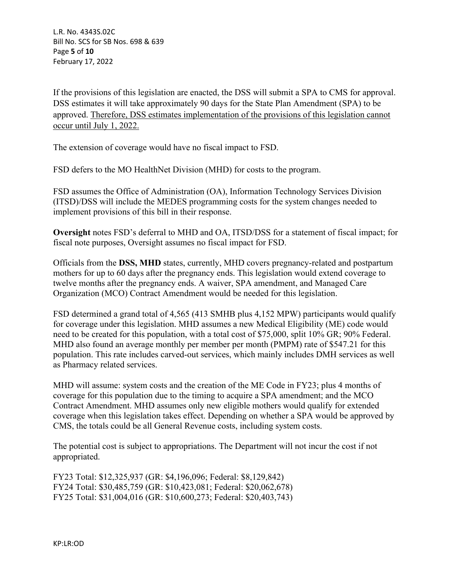L.R. No. 4343S.02C Bill No. SCS for SB Nos. 698 & 639 Page **5** of **10** February 17, 2022

If the provisions of this legislation are enacted, the DSS will submit a SPA to CMS for approval. DSS estimates it will take approximately 90 days for the State Plan Amendment (SPA) to be approved. Therefore, DSS estimates implementation of the provisions of this legislation cannot occur until July 1, 2022.

The extension of coverage would have no fiscal impact to FSD.

FSD defers to the MO HealthNet Division (MHD) for costs to the program.

FSD assumes the Office of Administration (OA), Information Technology Services Division (ITSD)/DSS will include the MEDES programming costs for the system changes needed to implement provisions of this bill in their response.

**Oversight** notes FSD's deferral to MHD and OA, ITSD/DSS for a statement of fiscal impact; for fiscal note purposes, Oversight assumes no fiscal impact for FSD.

Officials from the **DSS, MHD** states, currently, MHD covers pregnancy-related and postpartum mothers for up to 60 days after the pregnancy ends. This legislation would extend coverage to twelve months after the pregnancy ends. A waiver, SPA amendment, and Managed Care Organization (MCO) Contract Amendment would be needed for this legislation.

FSD determined a grand total of 4,565 (413 SMHB plus 4,152 MPW) participants would qualify for coverage under this legislation. MHD assumes a new Medical Eligibility (ME) code would need to be created for this population, with a total cost of \$75,000, split 10% GR; 90% Federal. MHD also found an average monthly per member per month (PMPM) rate of \$547.21 for this population. This rate includes carved-out services, which mainly includes DMH services as well as Pharmacy related services.

MHD will assume: system costs and the creation of the ME Code in FY23; plus 4 months of coverage for this population due to the timing to acquire a SPA amendment; and the MCO Contract Amendment. MHD assumes only new eligible mothers would qualify for extended coverage when this legislation takes effect. Depending on whether a SPA would be approved by CMS, the totals could be all General Revenue costs, including system costs.

The potential cost is subject to appropriations. The Department will not incur the cost if not appropriated.

FY23 Total: \$12,325,937 (GR: \$4,196,096; Federal: \$8,129,842) FY24 Total: \$30,485,759 (GR: \$10,423,081; Federal: \$20,062,678) FY25 Total: \$31,004,016 (GR: \$10,600,273; Federal: \$20,403,743)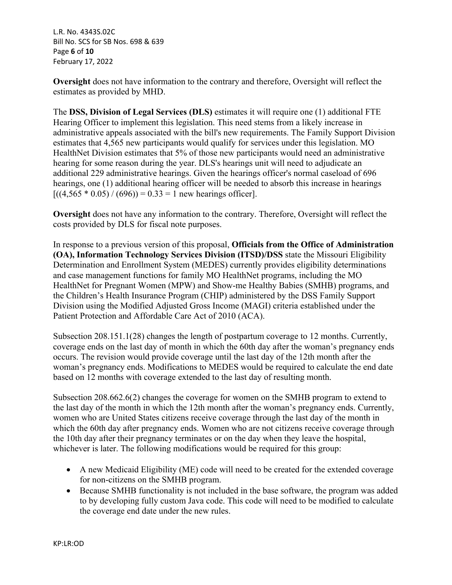L.R. No. 4343S.02C Bill No. SCS for SB Nos. 698 & 639 Page **6** of **10** February 17, 2022

**Oversight** does not have information to the contrary and therefore, Oversight will reflect the estimates as provided by MHD.

The **DSS, Division of Legal Services (DLS)** estimates it will require one (1) additional FTE Hearing Officer to implement this legislation. This need stems from a likely increase in administrative appeals associated with the bill's new requirements. The Family Support Division estimates that 4,565 new participants would qualify for services under this legislation. MO HealthNet Division estimates that 5% of those new participants would need an administrative hearing for some reason during the year. DLS's hearings unit will need to adjudicate an additional 229 administrative hearings. Given the hearings officer's normal caseload of 696 hearings, one (1) additional hearing officer will be needed to absorb this increase in hearings  $[( (4,565 * 0.05) / (696)) = 0.33 = 1$  new hearings officer].

**Oversight** does not have any information to the contrary. Therefore, Oversight will reflect the costs provided by DLS for fiscal note purposes.

In response to a previous version of this proposal, **Officials from the Office of Administration (OA), Information Technology Services Division (ITSD)/DSS** state the Missouri Eligibility Determination and Enrollment System (MEDES) currently provides eligibility determinations and case management functions for family MO HealthNet programs, including the MO HealthNet for Pregnant Women (MPW) and Show-me Healthy Babies (SMHB) programs, and the Children's Health Insurance Program (CHIP) administered by the DSS Family Support Division using the Modified Adjusted Gross Income (MAGI) criteria established under the Patient Protection and Affordable Care Act of 2010 (ACA).

Subsection 208.151.1(28) changes the length of postpartum coverage to 12 months. Currently, coverage ends on the last day of month in which the 60th day after the woman's pregnancy ends occurs. The revision would provide coverage until the last day of the 12th month after the woman's pregnancy ends. Modifications to MEDES would be required to calculate the end date based on 12 months with coverage extended to the last day of resulting month.

Subsection 208.662.6(2) changes the coverage for women on the SMHB program to extend to the last day of the month in which the 12th month after the woman's pregnancy ends. Currently, women who are United States citizens receive coverage through the last day of the month in which the 60th day after pregnancy ends. Women who are not citizens receive coverage through the 10th day after their pregnancy terminates or on the day when they leave the hospital, whichever is later. The following modifications would be required for this group:

- A new Medicaid Eligibility (ME) code will need to be created for the extended coverage for non-citizens on the SMHB program.
- Because SMHB functionality is not included in the base software, the program was added to by developing fully custom Java code. This code will need to be modified to calculate the coverage end date under the new rules.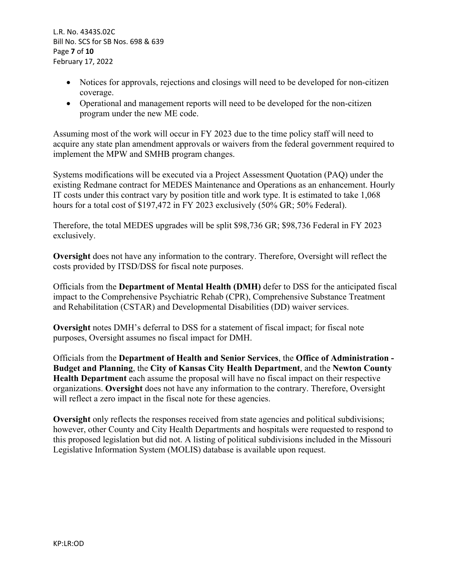L.R. No. 4343S.02C Bill No. SCS for SB Nos. 698 & 639 Page **7** of **10** February 17, 2022

- Notices for approvals, rejections and closings will need to be developed for non-citizen coverage.
- Operational and management reports will need to be developed for the non-citizen program under the new ME code.

Assuming most of the work will occur in FY 2023 due to the time policy staff will need to acquire any state plan amendment approvals or waivers from the federal government required to implement the MPW and SMHB program changes.

Systems modifications will be executed via a Project Assessment Quotation (PAQ) under the existing Redmane contract for MEDES Maintenance and Operations as an enhancement. Hourly IT costs under this contract vary by position title and work type. It is estimated to take 1,068 hours for a total cost of \$197,472 in FY 2023 exclusively (50% GR; 50% Federal).

Therefore, the total MEDES upgrades will be split \$98,736 GR; \$98,736 Federal in FY 2023 exclusively.

**Oversight** does not have any information to the contrary. Therefore, Oversight will reflect the costs provided by ITSD/DSS for fiscal note purposes.

Officials from the **Department of Mental Health (DMH)** defer to DSS for the anticipated fiscal impact to the Comprehensive Psychiatric Rehab (CPR), Comprehensive Substance Treatment and Rehabilitation (CSTAR) and Developmental Disabilities (DD) waiver services.

**Oversight** notes DMH's deferral to DSS for a statement of fiscal impact; for fiscal note purposes, Oversight assumes no fiscal impact for DMH.

Officials from the **Department of Health and Senior Services**, the **Office of Administration - Budget and Planning**, the **City of Kansas City Health Department**, and the **Newton County Health Department** each assume the proposal will have no fiscal impact on their respective organizations. **Oversight** does not have any information to the contrary. Therefore, Oversight will reflect a zero impact in the fiscal note for these agencies.

**Oversight** only reflects the responses received from state agencies and political subdivisions; however, other County and City Health Departments and hospitals were requested to respond to this proposed legislation but did not. A listing of political subdivisions included in the Missouri Legislative Information System (MOLIS) database is available upon request.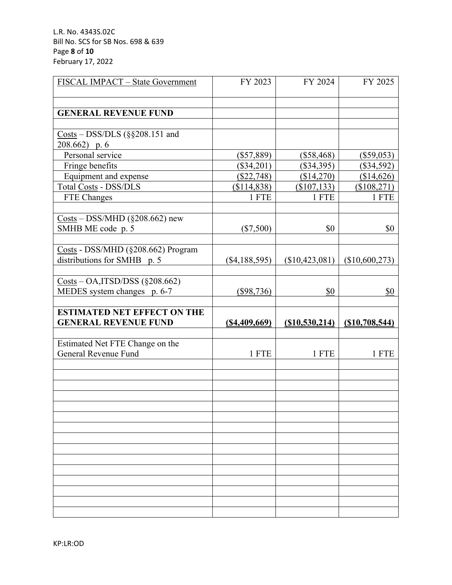L.R. No. 4343S.02C Bill No. SCS for SB Nos. 698 & 639 Page **8** of **10** February 17, 2022

| FISCAL IMPACT - State Government                                                                                 | FY 2023         | FY 2024         | FY 2025         |
|------------------------------------------------------------------------------------------------------------------|-----------------|-----------------|-----------------|
|                                                                                                                  |                 |                 |                 |
|                                                                                                                  |                 |                 |                 |
| <b>GENERAL REVENUE FUND</b>                                                                                      |                 |                 |                 |
| $\frac{\text{Costs}}{\text{O}} - \frac{\text{DSS}}{\text{DLS}}$ (§§208.151 and                                   |                 |                 |                 |
| 208.662) p. 6                                                                                                    |                 |                 |                 |
| Personal service                                                                                                 | $(\$57,889)$    | $(\$58,468)$    | $(\$59,053)$    |
| Fringe benefits                                                                                                  | $(\$34,201)$    | $(\$34,395)$    | $(\$34,592)$    |
| Equipment and expense                                                                                            | (\$22,748)      | (\$14,270)      | (\$14,626)      |
| Total Costs - DSS/DLS                                                                                            | (\$114,838)     | (\$107, 133)    | (\$108,271)     |
| FTE Changes                                                                                                      | 1 FTE           | 1 FTE           | 1 FTE           |
|                                                                                                                  |                 |                 |                 |
| $\frac{\text{Costs}}{\text{O}} - \text{DSS/MHD}$ (§208.662) new                                                  |                 |                 |                 |
| SMHB ME code p. 5                                                                                                | $(\$7,500)$     | \$0             | \$0             |
|                                                                                                                  |                 |                 |                 |
| Costs - DSS/MHD (§208.662) Program                                                                               |                 |                 |                 |
| distributions for SMHB p. 5                                                                                      | $(\$4,188,595)$ | (\$10,423,081)  | (\$10,600,273)  |
|                                                                                                                  |                 |                 |                 |
| $\frac{\text{Costs}}{\text{Oosts}} - \text{OA}, \frac{\text{ITSD}}{\text{DSS}} \left( \frac{208.662}{2} \right)$ |                 |                 |                 |
| MEDES system changes p. 6-7                                                                                      | $(\$98,736)$    | \$0             | \$0             |
|                                                                                                                  |                 |                 |                 |
|                                                                                                                  |                 |                 |                 |
| <b>ESTIMATED NET EFFECT ON THE</b>                                                                               |                 |                 |                 |
| <b>GENERAL REVENUE FUND</b>                                                                                      | (S4, 409, 669)  | (S10, 530, 214) | (S10, 708, 544) |
|                                                                                                                  |                 |                 |                 |
| Estimated Net FTE Change on the                                                                                  |                 |                 |                 |
| General Revenue Fund                                                                                             | 1 FTE           | 1 FTE           | 1 FTE           |
|                                                                                                                  |                 |                 |                 |
|                                                                                                                  |                 |                 |                 |
|                                                                                                                  |                 |                 |                 |
|                                                                                                                  |                 |                 |                 |
|                                                                                                                  |                 |                 |                 |
|                                                                                                                  |                 |                 |                 |
|                                                                                                                  |                 |                 |                 |
|                                                                                                                  |                 |                 |                 |
|                                                                                                                  |                 |                 |                 |
|                                                                                                                  |                 |                 |                 |
|                                                                                                                  |                 |                 |                 |
|                                                                                                                  |                 |                 |                 |
|                                                                                                                  |                 |                 |                 |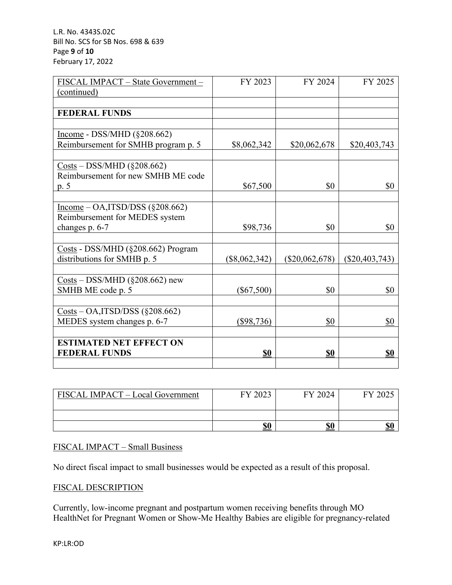L.R. No. 4343S.02C Bill No. SCS for SB Nos. 698 & 639 Page **9** of **10** February 17, 2022

| FISCAL IMPACT - State Government -                                                                               | FY 2023         | FY 2024          | FY 2025          |
|------------------------------------------------------------------------------------------------------------------|-----------------|------------------|------------------|
| (continued)                                                                                                      |                 |                  |                  |
|                                                                                                                  |                 |                  |                  |
| <b>FEDERAL FUNDS</b>                                                                                             |                 |                  |                  |
|                                                                                                                  |                 |                  |                  |
| Income - DSS/MHD $(\S 208.662)$                                                                                  |                 |                  |                  |
| Reimbursement for SMHB program p. 5                                                                              | \$8,062,342     | \$20,062,678     | \$20,403,743     |
|                                                                                                                  |                 |                  |                  |
| $\frac{\text{Costs}}{\text{Oosts}} - \frac{\text{DSS}}{\text{MHD}} \left( \frac{0.083662}{0.00262662} \right)$   |                 |                  |                  |
| Reimbursement for new SMHB ME code                                                                               |                 |                  |                  |
| p. 5                                                                                                             | \$67,500        | \$0              | \$0              |
|                                                                                                                  |                 |                  |                  |
| $Income – OA1ITSD/DSS (§208.662)$                                                                                |                 |                  |                  |
| Reimbursement for MEDES system                                                                                   |                 |                  |                  |
| changes p. 6-7                                                                                                   | \$98,736        | \$0              | \$0              |
| Costs - DSS/MHD (§208.662) Program                                                                               |                 |                  |                  |
| distributions for SMHB p. 5                                                                                      | $(\$8,062,342)$ | $(\$20,062,678)$ | $(\$20,403,743)$ |
|                                                                                                                  |                 |                  |                  |
| $Costs - DSS/MHD$ (§208.662) new                                                                                 |                 |                  |                  |
| SMHB ME code p. 5                                                                                                | $(\$67,500)$    | \$0              | \$0              |
|                                                                                                                  |                 |                  |                  |
| $\frac{\text{Costs}}{\text{Costs}} - \text{OA}, \frac{\text{ITSD}}{\text{DSS}} \left( \frac{208.662}{2} \right)$ |                 |                  |                  |
| MEDES system changes p. 6-7                                                                                      | $(\$98,736)$    | \$0              | \$0              |
|                                                                                                                  |                 |                  |                  |
| <b>ESTIMATED NET EFFECT ON</b>                                                                                   |                 |                  |                  |
| <b>FEDERAL FUNDS</b>                                                                                             | <u>\$0</u>      | <u>\$0</u>       | <u>\$0</u>       |
|                                                                                                                  |                 |                  |                  |

| FISCAL IMPACT – Local Government | FY 2023 | FY 2024    | FY 2025           |
|----------------------------------|---------|------------|-------------------|
|                                  |         |            |                   |
|                                  | \$0     | <u>\$0</u> | $\mathbf{C}$<br>ы |

## FISCAL IMPACT – Small Business

No direct fiscal impact to small businesses would be expected as a result of this proposal.

### FISCAL DESCRIPTION

Currently, low-income pregnant and postpartum women receiving benefits through MO HealthNet for Pregnant Women or Show-Me Healthy Babies are eligible for pregnancy-related